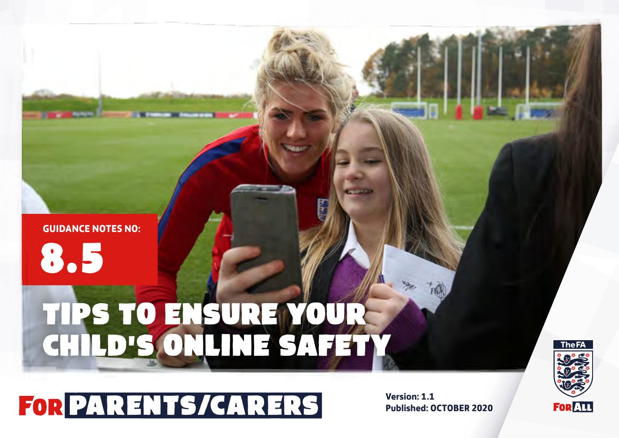### **GUIDANCE NOTES NO:**

8.5

# TIPS TO ENSURE YOUR CHILD'S ONLINE SA



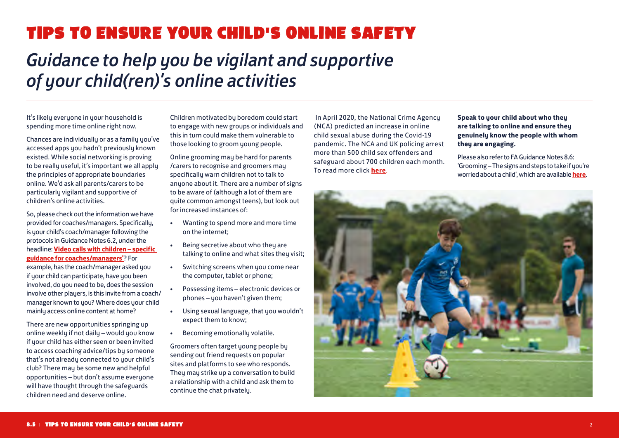## TIPS TO ENSURE YOUR CHILD'S ONLINE SAFETY

## *Guidance to help you be vigilant and supportive of your child(ren)'s online activities*

It's likely everyone in your household is spending more time online right now.

Chances are individually or as a family you've accessed apps you hadn't previously known existed. While social networking is proving to be really useful, it's important we all apply the principles of appropriate boundaries online. We'd ask all parents/carers to be particularly vigilant and supportive of children's online activities.

So, please check out the information we have provided for coaches/managers. Specifically, is your child's coach/manager following the protocols in Guidance Notes 6.2, under the headline: **[Video calls with children – specific](https://www.thefa.com/football-rules-governance/safeguarding/section-11-the-complete-downloads-directory)  [guidance for coaches/managers'](https://www.thefa.com/football-rules-governance/safeguarding/section-11-the-complete-downloads-directory)**? For example, has the coach/manager asked you if your child can participate, have you been involved, do you need to be, does the session involve other players, is this invite from a coach/ manager known to you? Where does your child mainly access online content at home?

There are new opportunities springing up online weekly if not daily – would you know if your child has either seen or been invited to access coaching advice/tips by someone that's not already connected to your child's club? There may be some new and helpful opportunities – but don't assume everyone will have thought through the safeguards children need and deserve online.

Children motivated by boredom could start to engage with new groups or individuals and this in turn could make them vulnerable to those looking to groom young people.

Online grooming may be hard for parents /carers to recognise and groomers may specifically warn children not to talk to anyone about it. There are a number of signs to be aware of (although a lot of them are quite common amongst teens), but look out for increased instances of:

- Wanting to spend more and more time on the internet;
- Being secretive about who they are talking to online and what sites they visit;
- Switching screens when you come near the computer, tablet or phone;
- Possessing items electronic devices or phones – you haven't given them;
- Using sexual language, that you wouldn't expect them to know;
- Becoming emotionally volatile.

Groomers often target young people by sending out friend requests on popular sites and platforms to see who responds. They may strike up a conversation to build a relationship with a child and ask them to continue the chat privately.

 In April 2020, the National Crime Agency (NCA) predicted an increase in online child sexual abuse during the Covid-19 pandemic. The NCA and UK policing arrest more than 500 child sex offenders and safeguard about 700 children each month. To read more click **[here](https://www.theguardian.com/society/2020/apr/03/nca-predicts-rise-in-online-child-sexual-abuse-during-coronavirus-pandemic )**.

#### **Speak to your child about who they are talking to online and ensure they genuinely know the people with whom they are engaging.**

Please also refer to FA Guidance Notes 8.6: 'Grooming – The signs and steps to take if you're worried about a child', which are available **[here](https://www.thefa.com/football-rules-governance/safeguarding/section-8-parents-and-carers)**.

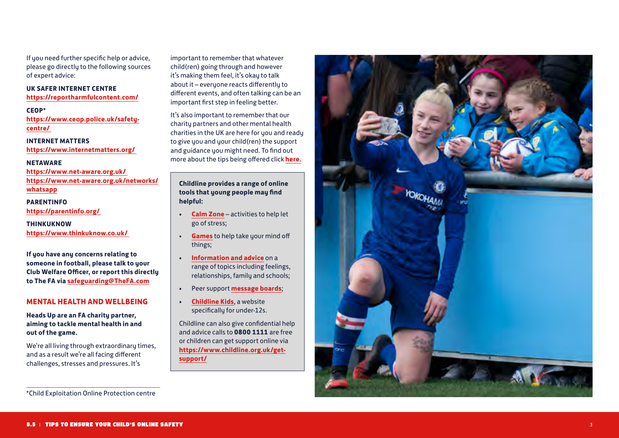If you need further specific help or advice, please go directly to the following sources of expert advice:

**UK SAFER INTERNET CENTRE https://reportharmfulcontent.com/**

#### **CEOP\***

**https://www.ceop.police.uk/safetycentre/** 

**INTERNET MATTERS https://www.internetmatters.org/** 

#### **NETAWARE**

**https://www.net-aware.org.uk/ https://www.net-aware.org.uk/networks/ whatsapp**

**PARENTINFO https://parentinfo.org/** 

**THINKUKNOW https://www.thinkuknow.co.uk/** 

**If you have any concerns relating to someone in football, please talk to your Club Welfare Officer, or report this directly to The FA via safeguarding@TheFA.com** 

#### **MENTAL HEALTH AND WELLBEING**

**Heads Up are an FA charity partner, aiming to tackle mental health in and out of the game.** 

We're all living through extraordinary times, and as a result we're all facing different challenges, stresses and pressures. It's

important to remember that whatever child(ren) going through and however it's making them feel, it's okay to talk about it – everyone reacts differently to different events, and often talking can be an important first step in feeling better.

It's also important to remember that our charity partners and other mental health charities in the UK are here for you and ready to give you and your child(ren) the support and guidance you might need. To find out more about the tips being offered click **[here.](http://www.thefa.com/news/2020/apr/07/heads-up-and-mental-health-during-coronavirus-080420)**

#### **. Childline provides a range of online tools that young people may find helpful:**

- **Calm Zone** activities to help let go of stress;
- **Games** to help take your mind off things;
- **Information and advice** on a range of topics including feelings, relationships, family and schools;
- Peer support **message boards**; **Childline Kids**, a website
- specifically for under-12s.

Childline can also give confidential help and advice calls to **0800 1111** are free or children can get support online via **https://www.childline.org.uk/getsupport/**

![](_page_2_Picture_22.jpeg)

<sup>\*</sup>Child Exploitation Online Protection centre